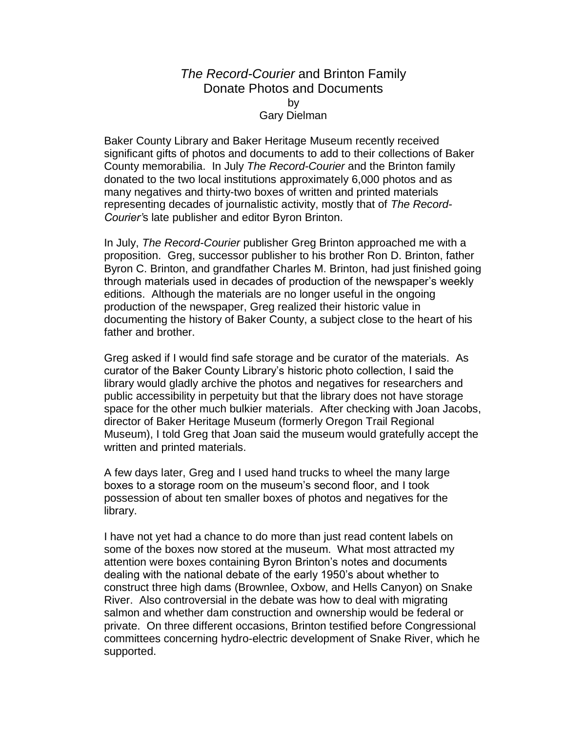## *The Record-Courier* and Brinton Family Donate Photos and Documents by Gary Dielman

Baker County Library and Baker Heritage Museum recently received significant gifts of photos and documents to add to their collections of Baker County memorabilia. In July *The Record-Courier* and the Brinton family donated to the two local institutions approximately 6,000 photos and as many negatives and thirty-two boxes of written and printed materials representing decades of journalistic activity, mostly that of *The Record-Courier'*s late publisher and editor Byron Brinton.

In July, *The Record-Courier* publisher Greg Brinton approached me with a proposition. Greg, successor publisher to his brother Ron D. Brinton, father Byron C. Brinton, and grandfather Charles M. Brinton, had just finished going through materials used in decades of production of the newspaper's weekly editions. Although the materials are no longer useful in the ongoing production of the newspaper, Greg realized their historic value in documenting the history of Baker County, a subject close to the heart of his father and brother.

Greg asked if I would find safe storage and be curator of the materials. As curator of the Baker County Library's historic photo collection, I said the library would gladly archive the photos and negatives for researchers and public accessibility in perpetuity but that the library does not have storage space for the other much bulkier materials. After checking with Joan Jacobs, director of Baker Heritage Museum (formerly Oregon Trail Regional Museum), I told Greg that Joan said the museum would gratefully accept the written and printed materials.

A few days later, Greg and I used hand trucks to wheel the many large boxes to a storage room on the museum's second floor, and I took possession of about ten smaller boxes of photos and negatives for the library.

I have not yet had a chance to do more than just read content labels on some of the boxes now stored at the museum. What most attracted my attention were boxes containing Byron Brinton's notes and documents dealing with the national debate of the early 1950's about whether to construct three high dams (Brownlee, Oxbow, and Hells Canyon) on Snake River. Also controversial in the debate was how to deal with migrating salmon and whether dam construction and ownership would be federal or private. On three different occasions, Brinton testified before Congressional committees concerning hydro-electric development of Snake River, which he supported.